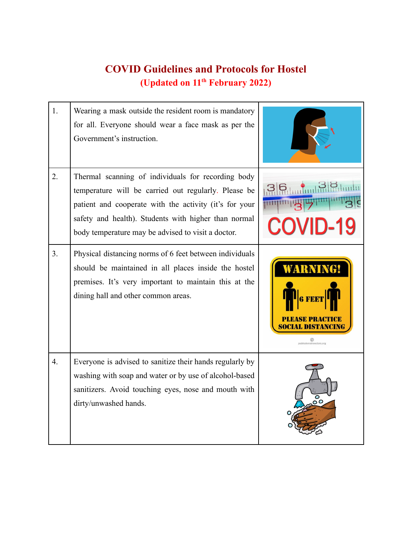## **COVID Guidelines and Protocols for Hostel (Updated on 11 th February 2022)**

| 1.               | Wearing a mask outside the resident room is mandatory<br>for all. Everyone should wear a face mask as per the<br>Government's instruction.                                                                                                                                         |                                           |
|------------------|------------------------------------------------------------------------------------------------------------------------------------------------------------------------------------------------------------------------------------------------------------------------------------|-------------------------------------------|
| 2.               | Thermal scanning of individuals for recording body<br>temperature will be carried out regularly. Please be<br>patient and cooperate with the activity (it's for your<br>safety and health). Students with higher than normal<br>body temperature may be advised to visit a doctor. | <u>alemmuniale</u> mmu<br><b>COVID-19</b> |
| 3.               | Physical distancing norms of 6 feet between individuals<br>should be maintained in all places inside the hostel<br>premises. It's very important to maintain this at the<br>dining hall and other common areas.                                                                    | <b>WARNING!</b><br>FEE<br>Ø               |
| $\overline{4}$ . | Everyone is advised to sanitize their hands regularly by<br>washing with soap and water or by use of alcohol-based<br>sanitizers. Avoid touching eyes, nose and mouth with<br>dirty/unwashed hands.                                                                                | $\bullet$<br>$\bullet$                    |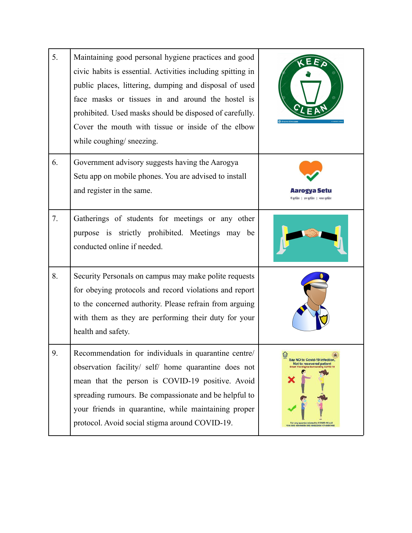| 5. | Maintaining good personal hygiene practices and good<br>civic habits is essential. Activities including spitting in<br>public places, littering, dumping and disposal of used<br>face masks or tissues in and around the hostel is<br>prohibited. Used masks should be disposed of carefully.<br>Cover the mouth with tissue or inside of the elbow<br>while coughing/ sneezing. |                                                                                                                                                       |
|----|----------------------------------------------------------------------------------------------------------------------------------------------------------------------------------------------------------------------------------------------------------------------------------------------------------------------------------------------------------------------------------|-------------------------------------------------------------------------------------------------------------------------------------------------------|
| 6. | Government advisory suggests having the Aarogya<br>Setu app on mobile phones. You are advised to install<br>and register in the same.                                                                                                                                                                                                                                            |                                                                                                                                                       |
| 7. | Gatherings of students for meetings or any other<br>purpose is strictly prohibited. Meetings may be<br>conducted online if needed.                                                                                                                                                                                                                                               |                                                                                                                                                       |
| 8. | Security Personals on campus may make polite requests<br>for obeying protocols and record violations and report<br>to the concerned authority. Please refrain from arguing<br>with them as they are performing their duty for your<br>health and safety.                                                                                                                         |                                                                                                                                                       |
| 9. | Recommendation for individuals in quarantine centre/<br>observation facility/ self/ home quarantine does not<br>mean that the person is COVID-19 positive. Avoid<br>spreading rumours. Be compassionate and be helpful to<br>your friends in quarantine, while maintaining proper<br>protocol. Avoid social stigma around COVID-19.                                              | ۵<br>Say NO to Covid-19 infection,<br>Not to recovered patient<br>For any queries related to COVID-19 call<br>104/080 46848600/080 66692000/974569745 |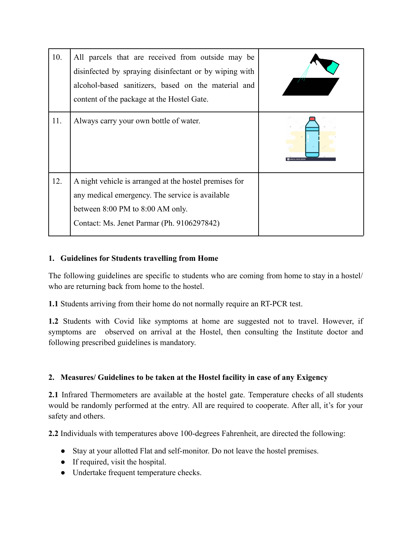| 10. | All parcels that are received from outside may be<br>disinfected by spraying disinfectant or by wiping with<br>alcohol-based sanitizers, based on the material and<br>content of the package at the Hostel Gate. |                |
|-----|------------------------------------------------------------------------------------------------------------------------------------------------------------------------------------------------------------------|----------------|
| 11. | Always carry your own bottle of water.                                                                                                                                                                           | amy stock phot |
| 12. | A night vehicle is arranged at the hostel premises for<br>any medical emergency. The service is available<br>between 8:00 PM to 8:00 AM only.<br>Contact: Ms. Jenet Parmar (Ph. 9106297842)                      |                |

## **1. Guidelines for Students travelling from Home**

The following guidelines are specific to students who are coming from home to stay in a hostel/ who are returning back from home to the hostel.

**1.1** Students arriving from their home do not normally require an RT-PCR test.

**1.2** Students with Covid like symptoms at home are suggested not to travel. However, if symptoms are observed on arrival at the Hostel, then consulting the Institute doctor and following prescribed guidelines is mandatory.

## **2. Measures/ Guidelines to be taken at the Hostel facility in case of any Exigency**

**2.1** Infrared Thermometers are available at the hostel gate. Temperature checks of all students would be randomly performed at the entry. All are required to cooperate. After all, it's for your safety and others.

**2.2** Individuals with temperatures above 100-degrees Fahrenheit, are directed the following:

- Stay at your allotted Flat and self-monitor. Do not leave the hostel premises.
- If required, visit the hospital.
- Undertake frequent temperature checks.